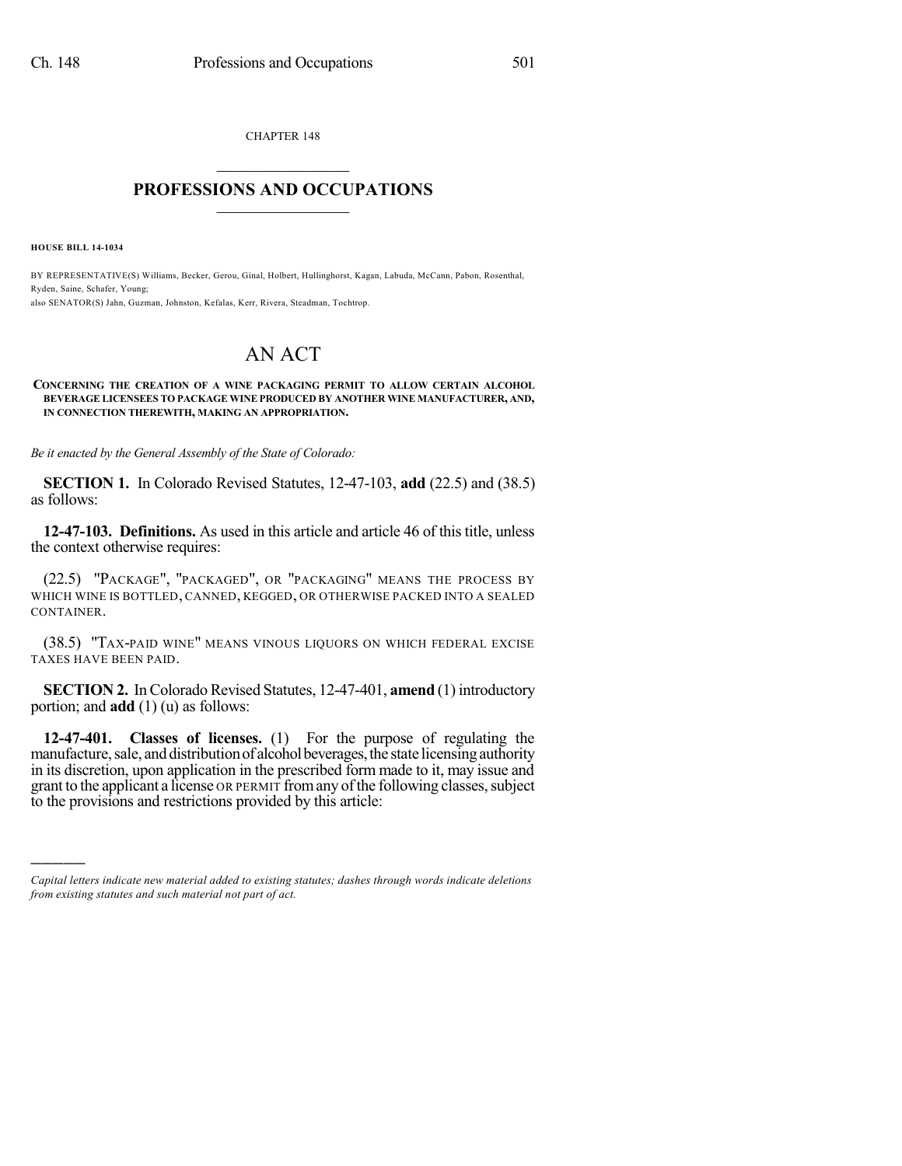CHAPTER 148  $\mathcal{L}_\text{max}$  . The set of the set of the set of the set of the set of the set of the set of the set of the set of the set of the set of the set of the set of the set of the set of the set of the set of the set of the set

## **PROFESSIONS AND OCCUPATIONS**  $\frac{1}{2}$  ,  $\frac{1}{2}$  ,  $\frac{1}{2}$  ,  $\frac{1}{2}$  ,  $\frac{1}{2}$  ,  $\frac{1}{2}$  ,  $\frac{1}{2}$

**HOUSE BILL 14-1034**

)))))

BY REPRESENTATIVE(S) Williams, Becker, Gerou, Ginal, Holbert, Hullinghorst, Kagan, Labuda, McCann, Pabon, Rosenthal, Ryden, Saine, Schafer, Young; also SENATOR(S) Jahn, Guzman, Johnston, Kefalas, Kerr, Rivera, Steadman, Tochtrop.

## AN ACT

## **CONCERNING THE CREATION OF A WINE PACKAGING PERMIT TO ALLOW CERTAIN ALCOHOL BEVERAGE LICENSEES TO PACKAGE WINE PRODUCED BY ANOTHER WINE MANUFACTURER, AND, IN CONNECTION THEREWITH, MAKING AN APPROPRIATION.**

*Be it enacted by the General Assembly of the State of Colorado:*

**SECTION 1.** In Colorado Revised Statutes, 12-47-103, **add** (22.5) and (38.5) as follows:

**12-47-103. Definitions.** As used in this article and article 46 of this title, unless the context otherwise requires:

(22.5) "PACKAGE", "PACKAGED", OR "PACKAGING" MEANS THE PROCESS BY WHICH WINE IS BOTTLED, CANNED, KEGGED, OR OTHERWISE PACKED INTO A SEALED CONTAINER.

(38.5) "TAX-PAID WINE" MEANS VINOUS LIQUORS ON WHICH FEDERAL EXCISE TAXES HAVE BEEN PAID.

**SECTION 2.** In Colorado Revised Statutes, 12-47-401, **amend** (1) introductory portion; and **add** (1) (u) as follows:

**12-47-401. Classes of licenses.** (1) For the purpose of regulating the manufacture, sale, and distribution of alcohol beverages, the state licensing authority in its discretion, upon application in the prescribed form made to it, may issue and grant to the applicant a license OR PERMIT from any of the following classes, subject to the provisions and restrictions provided by this article:

*Capital letters indicate new material added to existing statutes; dashes through words indicate deletions from existing statutes and such material not part of act.*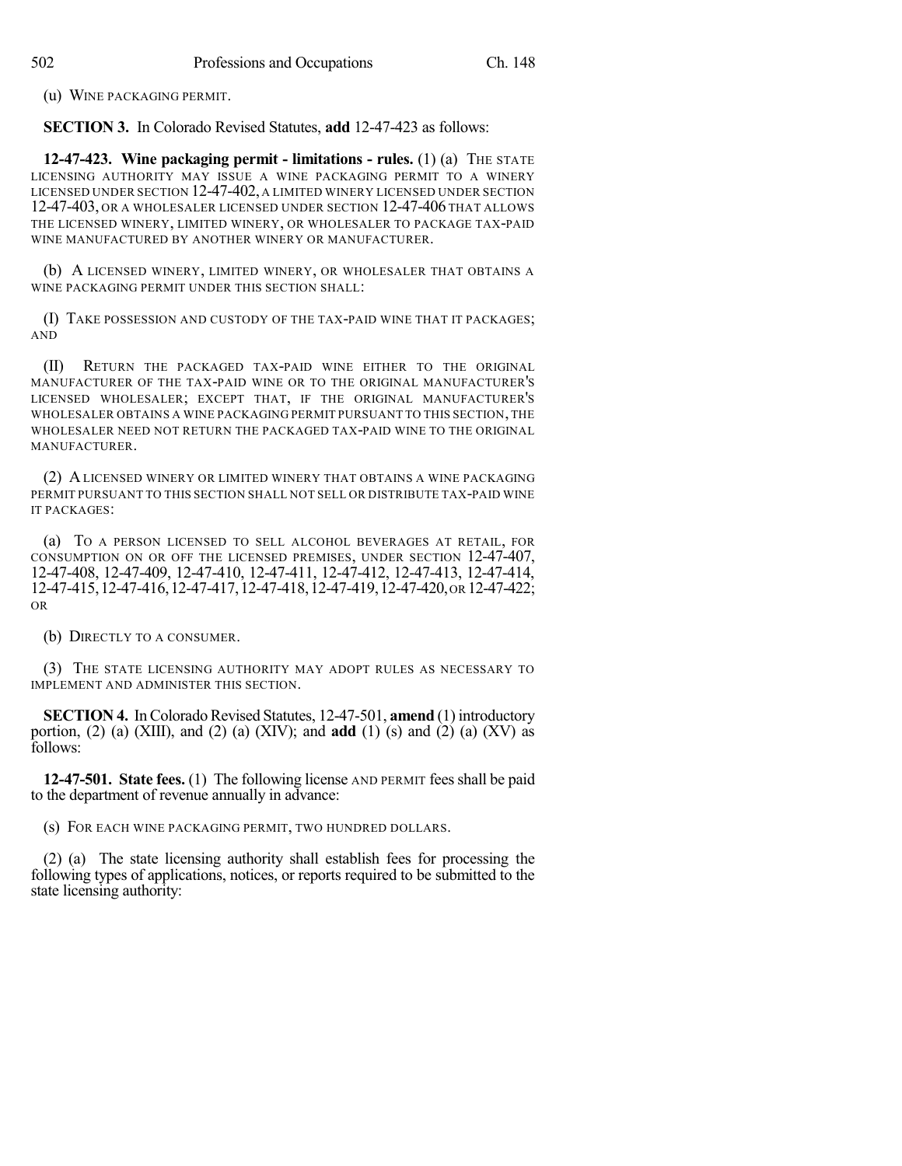(u) WINE PACKAGING PERMIT.

**SECTION 3.** In Colorado Revised Statutes, **add** 12-47-423 as follows:

**12-47-423. Wine packaging permit - limitations - rules.** (1) (a) THE STATE LICENSING AUTHORITY MAY ISSUE A WINE PACKAGING PERMIT TO A WINERY LICENSED UNDER SECTION 12-47-402, A LIMITED WINERY LICENSED UNDER SECTION 12-47-403, OR A WHOLESALER LICENSED UNDER SECTION 12-47-406 THAT ALLOWS THE LICENSED WINERY, LIMITED WINERY, OR WHOLESALER TO PACKAGE TAX-PAID WINE MANUFACTURED BY ANOTHER WINERY OR MANUFACTURER.

(b) A LICENSED WINERY, LIMITED WINERY, OR WHOLESALER THAT OBTAINS A WINE PACKAGING PERMIT UNDER THIS SECTION SHALL:

(I) TAKE POSSESSION AND CUSTODY OF THE TAX-PAID WINE THAT IT PACKAGES; AND

(II) RETURN THE PACKAGED TAX-PAID WINE EITHER TO THE ORIGINAL MANUFACTURER OF THE TAX-PAID WINE OR TO THE ORIGINAL MANUFACTURER'S LICENSED WHOLESALER; EXCEPT THAT, IF THE ORIGINAL MANUFACTURER'S WHOLESALER OBTAINS A WINE PACKAGING PERMIT PURSUANT TO THIS SECTION, THE WHOLESALER NEED NOT RETURN THE PACKAGED TAX-PAID WINE TO THE ORIGINAL MANUFACTURER.

(2) A LICENSED WINERY OR LIMITED WINERY THAT OBTAINS A WINE PACKAGING PERMIT PURSUANT TO THIS SECTION SHALL NOT SELL OR DISTRIBUTE TAX-PAID WINE IT PACKAGES:

(a) TO A PERSON LICENSED TO SELL ALCOHOL BEVERAGES AT RETAIL, FOR CONSUMPTION ON OR OFF THE LICENSED PREMISES, UNDER SECTION 12-47-407, 12-47-408, 12-47-409, 12-47-410, 12-47-411, 12-47-412, 12-47-413, 12-47-414, 12-47-415,12-47-416,12-47-417,12-47-418,12-47-419,12-47-420,or 12-47-422; OR

(b) DIRECTLY TO A CONSUMER.

(3) THE STATE LICENSING AUTHORITY MAY ADOPT RULES AS NECESSARY TO IMPLEMENT AND ADMINISTER THIS SECTION.

**SECTION 4.** In Colorado Revised Statutes, 12-47-501, **amend** (1) introductory portion, (2) (a) (XIII), and (2) (a) (XIV); and **add** (1) (s) and (2) (a) (XV) as follows:

**12-47-501. State fees.** (1) The following license AND PERMIT fees shall be paid to the department of revenue annually in advance:

(s) FOR EACH WINE PACKAGING PERMIT, TWO HUNDRED DOLLARS.

(2) (a) The state licensing authority shall establish fees for processing the following types of applications, notices, or reports required to be submitted to the state licensing authority: